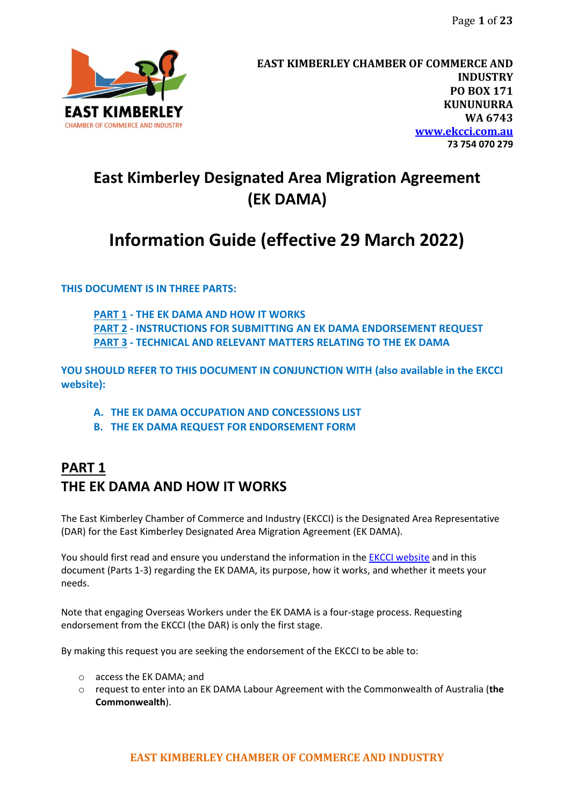

# **East Kimberley Designated Area Migration Agreement (EK DAMA)**

# **Information Guide (effective 29 March 2022)**

**THIS DOCUMENT IS IN THREE PARTS:** 

**PART 1 - THE EK DAMA AND HOW IT WORKS PART 2 - INSTRUCTIONS FOR SUBMITTING AN EK DAMA ENDORSEMENT REQUEST PART 3 - TECHNICAL AND RELEVANT MATTERS RELATING TO THE EK DAMA** 

**YOU SHOULD REFER TO THIS DOCUMENT IN CONJUNCTION WITH (also available in the EKCCI website):** 

- **A. THE EK DAMA OCCUPATION AND CONCESSIONS LIST**
- **B. THE EK DAMA REQUEST FOR ENDORSEMENT FORM**

# **PART 1 THE EK DAMA AND HOW IT WORKS**

The East Kimberley Chamber of Commerce and Industry (EKCCI) is the Designated Area Representative (DAR) for the East Kimberley Designated Area Migration Agreement (EK DAMA).

You should first read and ensure you understand the information in th[e EKCCI website](https://www.ekcci.com.au/ek-dama/about-ek-dama/) and in this document (Parts 1-3) regarding the EK DAMA, its purpose, how it works, and whether it meets your needs.

Note that engaging Overseas Workers under the EK DAMA is a four-stage process. Requesting endorsement from the EKCCI (the DAR) is only the first stage.

By making this request you are seeking the endorsement of the EKCCI to be able to:

- o access the EK DAMA; and
- o request to enter into an EK DAMA Labour Agreement with the Commonwealth of Australia (**the Commonwealth**).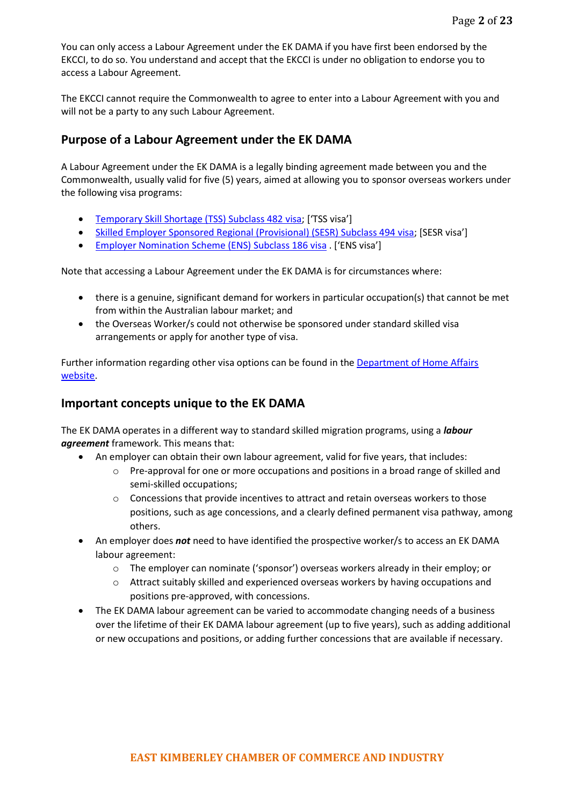You can only access a Labour Agreement under the EK DAMA if you have first been endorsed by the EKCCI, to do so. You understand and accept that the EKCCI is under no obligation to endorse you to access a Labour Agreement.

The EKCCI cannot require the Commonwealth to agree to enter into a Labour Agreement with you and will not be a party to any such Labour Agreement.

# **Purpose of a Labour Agreement under the EK DAMA**

A Labour Agreement under the EK DAMA is a legally binding agreement made between you and the Commonwealth, usually valid for five (5) years, aimed at allowing you to sponsor overseas workers under the following visa programs:

- [Temporary Skill Shortage \(TSS\) Subclass 482 visa;](https://immi.homeaffairs.gov.au/visas/getting-a-visa/visa-listing/temporary-skill-shortage-482/labour-agreement-stream) ['TSS visa']
- [Skilled Employer Sponsored Regional \(Provisional\) \(SESR\) Subclass 494 visa;](https://immi.homeaffairs.gov.au/visas/getting-a-visa/visa-listing/skilled-employer-sponsored-regional-494/labour-agreement-stream) [SESR visa']
- [Employer Nomination Scheme \(ENS\) Subclass 186 visa](https://cairnschamberofcommerce.sharepoint.com/sites/Internal/Shared%20Documents/General/10%20-%20MIGRATION/2%20-%20FNQ%20DAMA/DEED%20OF%20VARIATION%20(Feb20-June21)/DoV%20DOCUMENT%20AND%20WEB%20REVISION%20(June%202021)/Employer%20Nomination%20Scheme%20(ENS)%20Subclass%20186%20visa) . ['ENS visa']

Note that accessing a Labour Agreement under the EK DAMA is for circumstances where:

- there is a genuine, significant demand for workers in particular occupation(s) that cannot be met from within the Australian labour market; and
- the Overseas Worker/s could not otherwise be sponsored under standard skilled visa arrangements or apply for another type of visa.

Further information regarding other visa options can be found in th[e Department of Home Affairs](https://www.homeaffairs.gov.au/)  [website.](https://www.homeaffairs.gov.au/)

# **Important concepts unique to the EK DAMA**

The EK DAMA operates in a different way to standard skilled migration programs, using a *labour agreement* framework. This means that:

- An employer can obtain their own labour agreement, valid for five years, that includes:
	- $\circ$  Pre-approval for one or more occupations and positions in a broad range of skilled and semi-skilled occupations;
	- o Concessions that provide incentives to attract and retain overseas workers to those positions, such as age concessions, and a clearly defined permanent visa pathway, among others.
- An employer does *not* need to have identified the prospective worker/s to access an EK DAMA labour agreement:
	- o The employer can nominate ('sponsor') overseas workers already in their employ; or
	- o Attract suitably skilled and experienced overseas workers by having occupations and positions pre-approved, with concessions.
- The EK DAMA labour agreement can be varied to accommodate changing needs of a business over the lifetime of their EK DAMA labour agreement (up to five years), such as adding additional or new occupations and positions, or adding further concessions that are available if necessary.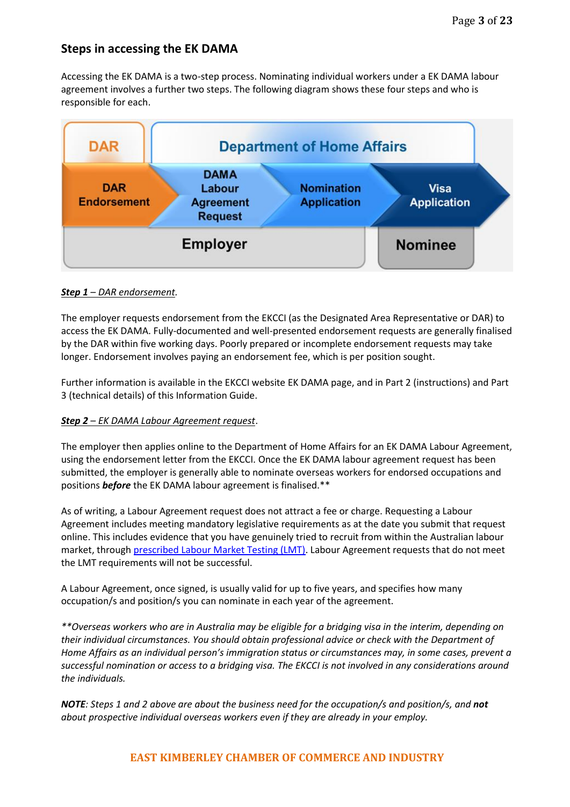# **Steps in accessing the EK DAMA**

Accessing the EK DAMA is a two-step process. Nominating individual workers under a EK DAMA labour agreement involves a further two steps. The following diagram shows these four steps and who is responsible for each.



# *Step 1 – DAR endorsement.*

The employer requests endorsement from the EKCCI (as the Designated Area Representative or DAR) to access the EK DAMA. Fully-documented and well-presented endorsement requests are generally finalised by the DAR within five working days. Poorly prepared or incomplete endorsement requests may take longer. Endorsement involves paying an endorsement fee, which is per position sought.

Further information is available in the EKCCI website EK DAMA page, and in Part 2 (instructions) and Part 3 (technical details) of this Information Guide.

# *Step 2 – EK DAMA Labour Agreement request*.

The employer then applies online to the Department of Home Affairs for an EK DAMA Labour Agreement, using the endorsement letter from the EKCCI. Once the EK DAMA labour agreement request has been submitted, the employer is generally able to nominate overseas workers for endorsed occupations and positions *before* the EK DAMA labour agreement is finalised.\*\*

As of writing, a Labour Agreement request does not attract a fee or charge. Requesting a Labour Agreement includes meeting mandatory legislative requirements as at the date you submit that request online. This includes evidence that you have genuinely tried to recruit from within the Australian labour market, throug[h prescribed Labour Market Testing \(LMT\).](https://immi.homeaffairs.gov.au/visas/employing-and-sponsoring-someone/sponsoring-workers/nominating-a-position/labour-market-testing) Labour Agreement requests that do not meet the LMT requirements will not be successful.

A Labour Agreement, once signed, is usually valid for up to five years, and specifies how many occupation/s and position/s you can nominate in each year of the agreement.

*\*\*Overseas workers who are in Australia may be eligible for a bridging visa in the interim, depending on their individual circumstances. You should obtain professional advice or check with the Department of Home Affairs as an individual person's immigration status or circumstances may, in some cases, prevent a successful nomination or access to a bridging visa. The EKCCI is not involved in any considerations around the individuals.* 

*NOTE: Steps 1 and 2 above are about the business need for the occupation/s and position/s, and not about prospective individual overseas workers even if they are already in your employ.*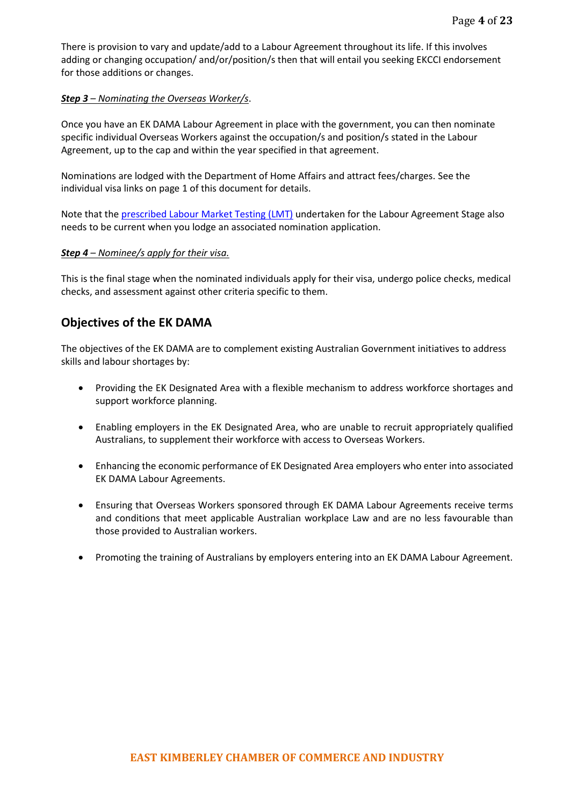There is provision to vary and update/add to a Labour Agreement throughout its life. If this involves adding or changing occupation/ and/or/position/s then that will entail you seeking EKCCI endorsement for those additions or changes.

## *Step 3 – Nominating the Overseas Worker/s*.

Once you have an EK DAMA Labour Agreement in place with the government, you can then nominate specific individual Overseas Workers against the occupation/s and position/s stated in the Labour Agreement, up to the cap and within the year specified in that agreement.

Nominations are lodged with the Department of Home Affairs and attract fees/charges. See the individual visa links on page 1 of this document for details.

Note that th[e prescribed Labour Market Testing \(LMT\)](https://immi.homeaffairs.gov.au/visas/employing-and-sponsoring-someone/sponsoring-workers/nominating-a-position/labour-market-testing) undertaken for the Labour Agreement Stage also needs to be current when you lodge an associated nomination application.

#### *Step 4 – Nominee/s apply for their visa.*

This is the final stage when the nominated individuals apply for their visa, undergo police checks, medical checks, and assessment against other criteria specific to them.

# **Objectives of the EK DAMA**

The objectives of the EK DAMA are to complement existing Australian Government initiatives to address skills and labour shortages by:

- Providing the EK Designated Area with a flexible mechanism to address workforce shortages and support workforce planning.
- Enabling employers in the EK Designated Area, who are unable to recruit appropriately qualified Australians, to supplement their workforce with access to Overseas Workers.
- Enhancing the economic performance of EK Designated Area employers who enter into associated EK DAMA Labour Agreements.
- Ensuring that Overseas Workers sponsored through EK DAMA Labour Agreements receive terms and conditions that meet applicable Australian workplace Law and are no less favourable than those provided to Australian workers.
- Promoting the training of Australians by employers entering into an EK DAMA Labour Agreement.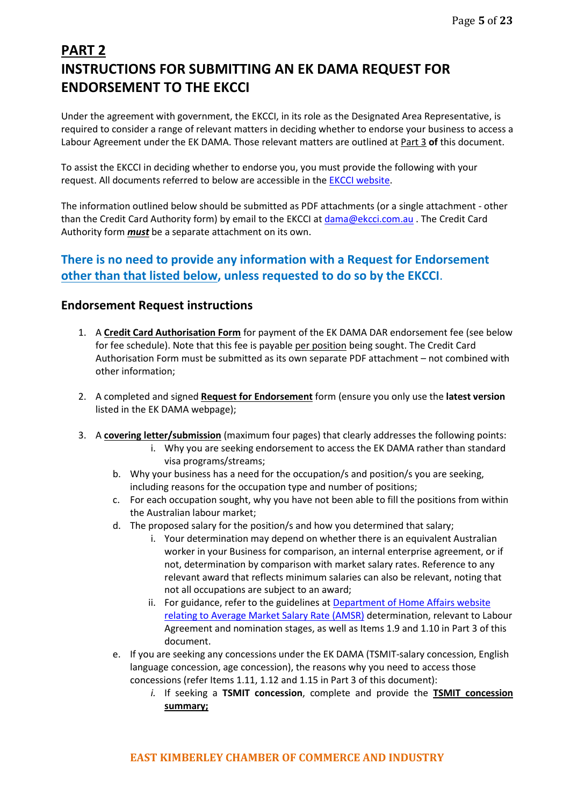# **PART 2 INSTRUCTIONS FOR SUBMITTING AN EK DAMA REQUEST FOR ENDORSEMENT TO THE EKCCI**

Under the agreement with government, the EKCCI, in its role as the Designated Area Representative, is required to consider a range of relevant matters in deciding whether to endorse your business to access a Labour Agreement under the EK DAMA. Those relevant matters are outlined at Part 3 **of** this document.

To assist the EKCCI in deciding whether to endorse you, you must provide the following with your request. All documents referred to below are accessible in the **EKCCI website**.

The information outlined below should be submitted as PDF attachments (or a single attachment - other than the Credit Card Authority form) by email to the EKCCI at [dama@ekcci.com.au](mailto:dama@ekcci.com.au) . The Credit Card Authority form *must* be a separate attachment on its own.

# **There is no need to provide any information with a Request for Endorsement other than that listed below, unless requested to do so by the EKCCI**.

# **Endorsement Request instructions**

- 1. A **Credit Card Authorisation Form** for payment of the EK DAMA DAR endorsement fee (see below for fee schedule). Note that this fee is payable per position being sought. The Credit Card Authorisation Form must be submitted as its own separate PDF attachment – not combined with other information;
- 2. A completed and signed **Request for Endorsement** form (ensure you only use the **latest version** listed in the EK DAMA webpage);
- 3. A **covering letter/submission** (maximum four pages) that clearly addresses the following points:
	- i. Why you are seeking endorsement to access the EK DAMA rather than standard visa programs/streams;
	- b. Why your business has a need for the occupation/s and position/s you are seeking, including reasons for the occupation type and number of positions;
	- c. For each occupation sought, why you have not been able to fill the positions from within the Australian labour market;
	- d. The proposed salary for the position/s and how you determined that salary;
		- i. Your determination may depend on whether there is an equivalent Australian worker in your Business for comparison, an internal enterprise agreement, or if not, determination by comparison with market salary rates. Reference to any relevant award that reflects minimum salaries can also be relevant, noting that not all occupations are subject to an award;
		- ii. For guidance, refer to the guidelines at Department of Home Affairs website [relating to Average Market Salary Rate \(AMSR\)](https://immi.homeaffairs.gov.au/visas/employing-and-sponsoring-someone/sponsoring-workers/nominating-a-position/salary-requirements) determination, relevant to Labour Agreement and nomination stages, as well as Items 1.9 and 1.10 in Part 3 of this document.
	- e. If you are seeking any concessions under the EK DAMA (TSMIT-salary concession, English language concession, age concession), the reasons why you need to access those concessions (refer Items 1.11, 1.12 and 1.15 in Part 3 of this document):
		- *i.* If seeking a **TSMIT concession**, complete and provide the **TSMIT concession summary;**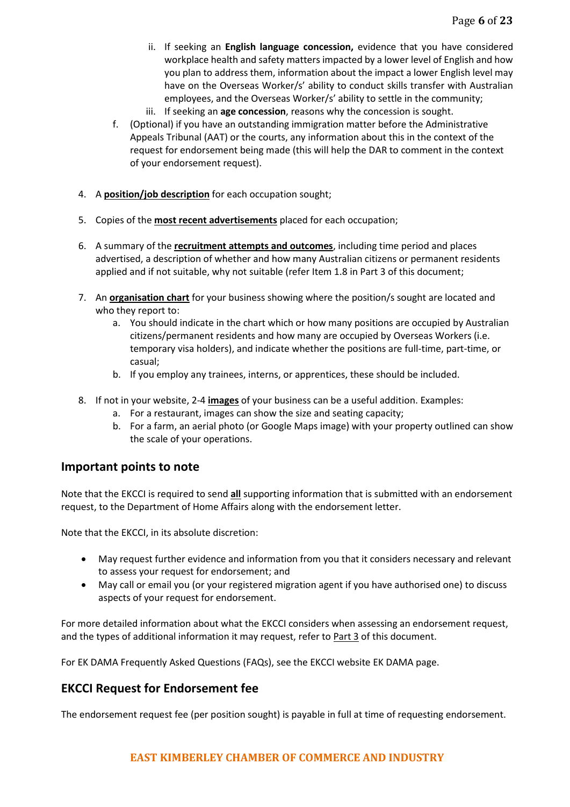- ii. If seeking an **English language concession,** evidence that you have considered workplace health and safety matters impacted by a lower level of English and how you plan to address them, information about the impact a lower English level may have on the Overseas Worker/s' ability to conduct skills transfer with Australian employees, and the Overseas Worker/s' ability to settle in the community;
- iii. If seeking an **age concession**, reasons why the concession is sought.
- f. (Optional) if you have an outstanding immigration matter before the Administrative Appeals Tribunal (AAT) or the courts, any information about this in the context of the request for endorsement being made (this will help the DAR to comment in the context of your endorsement request).
- 4. A **position/job description** for each occupation sought;
- 5. Copies of the **most recent advertisements** placed for each occupation;
- 6. A summary of the **recruitment attempts and outcomes**, including time period and places advertised, a description of whether and how many Australian citizens or permanent residents applied and if not suitable, why not suitable (refer Item 1.8 in Part 3 of this document;
- 7. An **organisation chart** for your business showing where the position/s sought are located and who they report to:
	- a. You should indicate in the chart which or how many positions are occupied by Australian citizens/permanent residents and how many are occupied by Overseas Workers (i.e. temporary visa holders), and indicate whether the positions are full-time, part-time, or casual;
	- b. If you employ any trainees, interns, or apprentices, these should be included.
- 8. If not in your website, 2-4 **images** of your business can be a useful addition. Examples:
	- a. For a restaurant, images can show the size and seating capacity;
	- b. For a farm, an aerial photo (or Google Maps image) with your property outlined can show the scale of your operations.

# **Important points to note**

Note that the EKCCI is required to send **all** supporting information that is submitted with an endorsement request, to the Department of Home Affairs along with the endorsement letter.

Note that the EKCCI, in its absolute discretion:

- May request further evidence and information from you that it considers necessary and relevant to assess your request for endorsement; and
- May call or email you (or your registered migration agent if you have authorised one) to discuss aspects of your request for endorsement.

For more detailed information about what the EKCCI considers when assessing an endorsement request, and the types of additional information it may request, refer to **Part 3** of this document.

For EK DAMA Frequently Asked Questions (FAQs), see the EKCCI website EK DAMA page.

# **EKCCI Request for Endorsement fee**

The endorsement request fee (per position sought) is payable in full at time of requesting endorsement.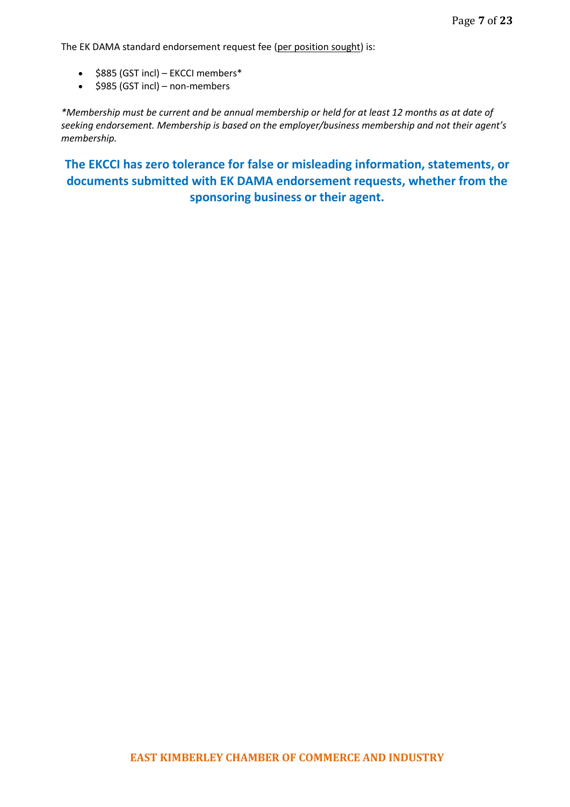The EK DAMA standard endorsement request fee (per position sought) is:

- \$885 (GST incl) EKCCI members\*
- \$985 (GST incl) non-members

*\*Membership must be current and be annual membership or held for at least 12 months as at date of seeking endorsement. Membership is based on the employer/business membership and not their agent's membership.*

**The EKCCI has zero tolerance for false or misleading information, statements, or documents submitted with EK DAMA endorsement requests, whether from the sponsoring business or their agent.**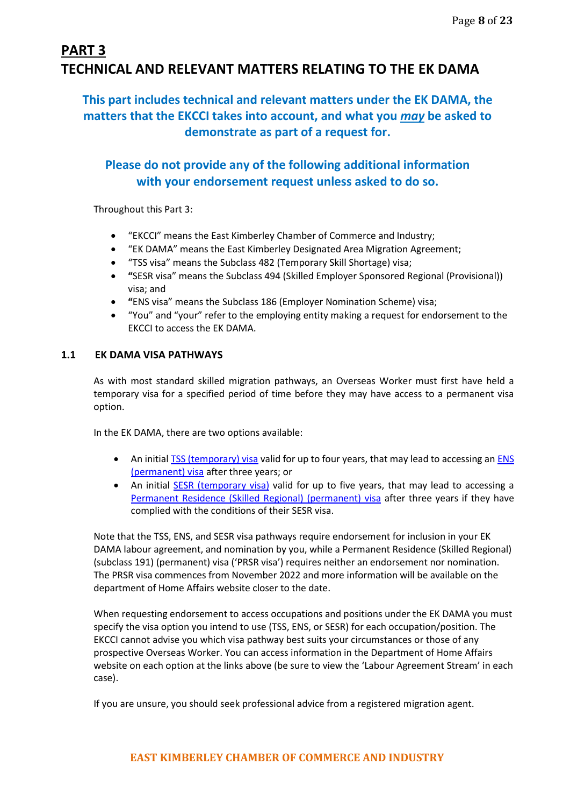# **PART 3 TECHNICAL AND RELEVANT MATTERS RELATING TO THE EK DAMA**

# **This part includes technical and relevant matters under the EK DAMA, the matters that the EKCCI takes into account, and what you** *may* **be asked to demonstrate as part of a request for.**

# **Please do not provide any of the following additional information with your endorsement request unless asked to do so.**

Throughout this Part 3:

- "EKCCI" means the East Kimberley Chamber of Commerce and Industry;
- "EK DAMA" means the East Kimberley Designated Area Migration Agreement;
- "TSS visa" means the Subclass 482 (Temporary Skill Shortage) visa;
- **"**SESR visa" means the Subclass 494 (Skilled Employer Sponsored Regional (Provisional)) visa; and
- **"**ENS visa" means the Subclass 186 (Employer Nomination Scheme) visa;
- "You" and "your" refer to the employing entity making a request for endorsement to the EKCCI to access the EK DAMA.

# **1.1 EK DAMA VISA PATHWAYS**

As with most standard skilled migration pathways, an Overseas Worker must first have held a temporary visa for a specified period of time before they may have access to a permanent visa option.

In the EK DAMA, there are two options available:

- An initia[l TSS \(temporary\) visa](https://immi.homeaffairs.gov.au/visas/getting-a-visa/visa-listing/temporary-skill-shortage-482/labour-agreement-stream) valid for up to four years, that may lead to accessing an ENS [\(permanent\) visa](https://immi.homeaffairs.gov.au/visas/getting-a-visa/visa-listing/employer-nomination-scheme-186/labour-agreement-stream) after three years; or
- An initial [SESR \(temporary visa\)](https://immi.homeaffairs.gov.au/visas/getting-a-visa/visa-listing/skilled-employer-sponsored-regional-494/labour-agreement-stream) valid for up to five years, that may lead to accessing a [Permanent Residence \(Skilled Regional\) \(permanent\) visa](https://immi.homeaffairs.gov.au/visas/getting-a-visa/visa-listing/skilled-regional-191) after three years if they have complied with the conditions of their SESR visa.

Note that the TSS, ENS, and SESR visa pathways require endorsement for inclusion in your EK DAMA labour agreement, and nomination by you, while a Permanent Residence (Skilled Regional) (subclass 191) (permanent) visa ('PRSR visa') requires neither an endorsement nor nomination. The PRSR visa commences from November 2022 and more information will be available on the department of Home Affairs website closer to the date.

When requesting endorsement to access occupations and positions under the EK DAMA you must specify the visa option you intend to use (TSS, ENS, or SESR) for each occupation/position. The EKCCI cannot advise you which visa pathway best suits your circumstances or those of any prospective Overseas Worker. You can access information in the Department of Home Affairs website on each option at the links above (be sure to view the 'Labour Agreement Stream' in each case).

If you are unsure, you should seek professional advice from a registered migration agent.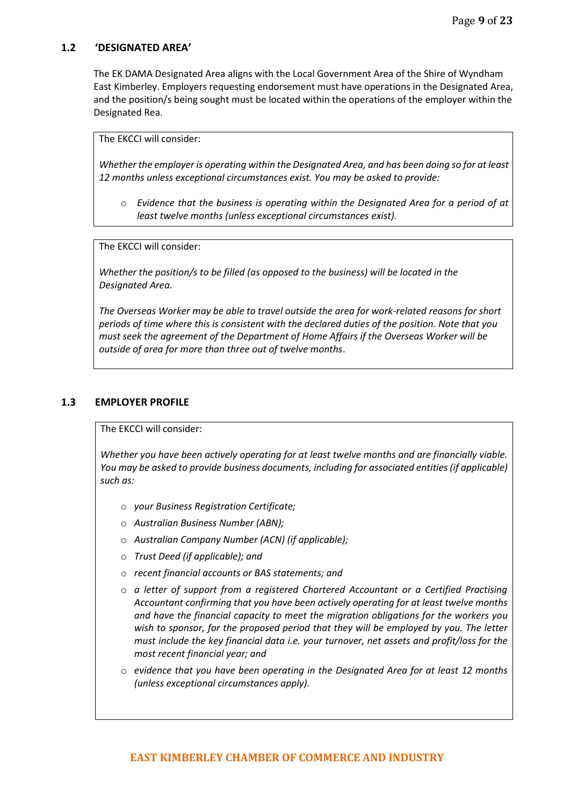# **1.2 'DESIGNATED AREA'**

The EK DAMA Designated Area aligns with the Local Government Area of the Shire of Wyndham East Kimberley. Employers requesting endorsement must have operations in the Designated Area, and the position/s being sought must be located within the operations of the employer within the Designated Rea.

The EKCCI will consider:

*Whether the employer is operating within the Designated Area, and has been doing so for at least 12 months unless exceptional circumstances exist. You may be asked to provide:* 

o *Evidence that the business is operating within the Designated Area for a period of at least twelve months (unless exceptional circumstances exist).*

The EKCCI will consider:

*Whether the position/s to be filled (as opposed to the business) will be located in the Designated Area.* 

*The Overseas Worker may be able to travel outside the area for work-related reasons for short periods of time where this is consistent with the declared duties of the position. Note that you must seek the agreement of the Department of Home Affairs if the Overseas Worker will be outside of area for more than three out of twelve months*.

## **1.3 EMPLOYER PROFILE**

The EKCCI will consider:

*Whether you have been actively operating for at least twelve months and are financially viable. You may be asked to provide business documents, including for associated entities (if applicable) such as:* 

- o *your Business Registration Certificate;*
- o *Australian Business Number (ABN);*
- o *Australian Company Number (ACN) (if applicable);*
- o *Trust Deed (if applicable); and*
- o *recent financial accounts or BAS statements; and*
- o *a letter of support from a registered Chartered Accountant or a Certified Practising Accountant confirming that you have been actively operating for at least twelve months and have the financial capacity to meet the migration obligations for the workers you wish to sponsor, for the proposed period that they will be employed by you. The letter must include the key financial data i.e. your turnover, net assets and profit/loss for the most recent financial year; and*
- o *evidence that you have been operating in the Designated Area for at least 12 months (unless exceptional circumstances apply).*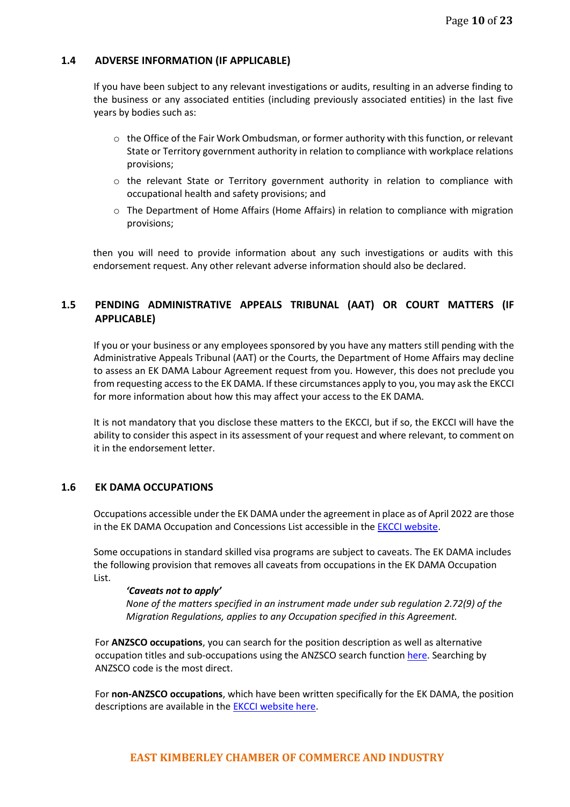## **1.4 ADVERSE INFORMATION (IF APPLICABLE)**

If you have been subject to any relevant investigations or audits, resulting in an adverse finding to the business or any associated entities (including previously associated entities) in the last five years by bodies such as:

- $\circ$  the Office of the Fair Work Ombudsman, or former authority with this function, or relevant State or Territory government authority in relation to compliance with workplace relations provisions;
- o the relevant State or Territory government authority in relation to compliance with occupational health and safety provisions; and
- o The Department of Home Affairs (Home Affairs) in relation to compliance with migration provisions;

then you will need to provide information about any such investigations or audits with this endorsement request. Any other relevant adverse information should also be declared.

# **1.5 PENDING ADMINISTRATIVE APPEALS TRIBUNAL (AAT) OR COURT MATTERS (IF APPLICABLE)**

If you or your business or any employees sponsored by you have any matters still pending with the Administrative Appeals Tribunal (AAT) or the Courts, the Department of Home Affairs may decline to assess an EK DAMA Labour Agreement request from you. However, this does not preclude you from requesting access to the EK DAMA. If these circumstances apply to you, you may ask the EKCCI for more information about how this may affect your access to the EK DAMA.

It is not mandatory that you disclose these matters to the EKCCI, but if so, the EKCCI will have the ability to consider this aspect in its assessment of your request and where relevant, to comment on it in the endorsement letter.

#### **1.6 EK DAMA OCCUPATIONS**

Occupations accessible under the EK DAMA under the agreement in place as of April 2022 are those in the EK DAMA Occupation and Concessions List accessible in the **EKCCI website**.

Some occupations in standard skilled visa programs are subject to caveats. The EK DAMA includes the following provision that removes all caveats from occupations in the EK DAMA Occupation List.

#### *'Caveats not to apply'*

*None of the matters specified in an instrument made under sub regulation 2.72(9) of the Migration Regulations, applies to any Occupation specified in this Agreement.* 

For **ANZSCO occupations**, you can search for the position description as well as alternative occupation titles and sub-occupations using the ANZSCO search functio[n here.](https://www.abs.gov.au/statistics/classifications/anzsco-australian-and-new-zealand-standard-classification-occupations/latest-release) Searching by ANZSCO code is the most direct.

For **non-ANZSCO occupations**, which have been written specifically for the EK DAMA, the position descriptions are available in th[e EKCCI website here.](https://www.ekcci.com.au/ek-dama/accessing-ek-dama/)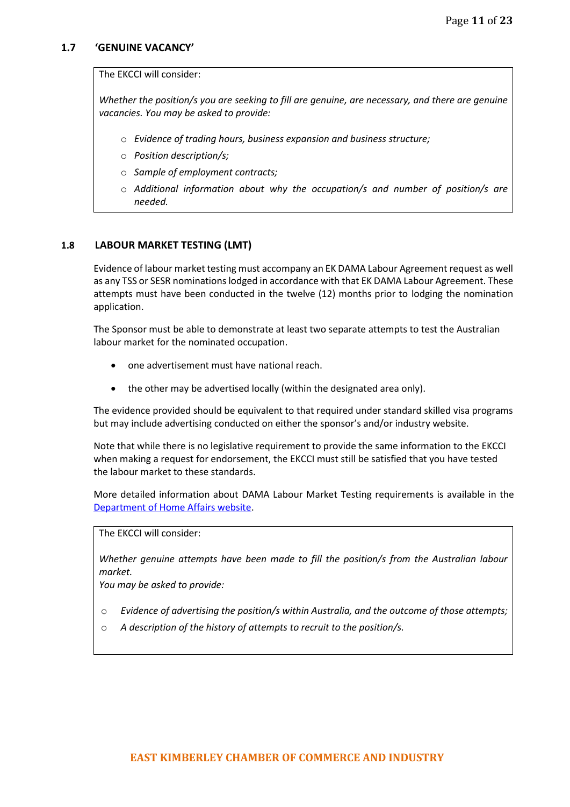## **1.7 'GENUINE VACANCY'**

#### The EKCCI will consider:

*Whether the position/s you are seeking to fill are genuine, are necessary, and there are genuine vacancies. You may be asked to provide:* 

- o *Evidence of trading hours, business expansion and business structure;*
- o *Position description/s;*
- o *Sample of employment contracts;*
- o *Additional information about why the occupation/s and number of position/s are needed.*

## **1.8 LABOUR MARKET TESTING (LMT)**

Evidence of labour market testing must accompany an EK DAMA Labour Agreement request as well as any TSS or SESR nominations lodged in accordance with that EK DAMA Labour Agreement. These attempts must have been conducted in the twelve (12) months prior to lodging the nomination application.

The Sponsor must be able to demonstrate at least two separate attempts to test the Australian labour market for the nominated occupation.

- one advertisement must have national reach.
- the other may be advertised locally (within the designated area only).

The evidence provided should be equivalent to that required under standard skilled visa programs but may include advertising conducted on either the sponsor's and/or industry website.

Note that while there is no legislative requirement to provide the same information to the EKCCI when making a request for endorsement, the EKCCI must still be satisfied that you have tested the labour market to these standards.

More detailed information about DAMA Labour Market Testing requirements is available in the [Department of Home Affairs website.](https://immi.homeaffairs.gov.au/visas/employing-and-sponsoring-someone/sponsoring-workers/nominating-a-position/labour-market-testing)

The EKCCI will consider:

*Whether genuine attempts have been made to fill the position/s from the Australian labour market.* 

*You may be asked to provide:* 

- o *Evidence of advertising the position/s within Australia, and the outcome of those attempts;*
- o *A description of the history of attempts to recruit to the position/s.*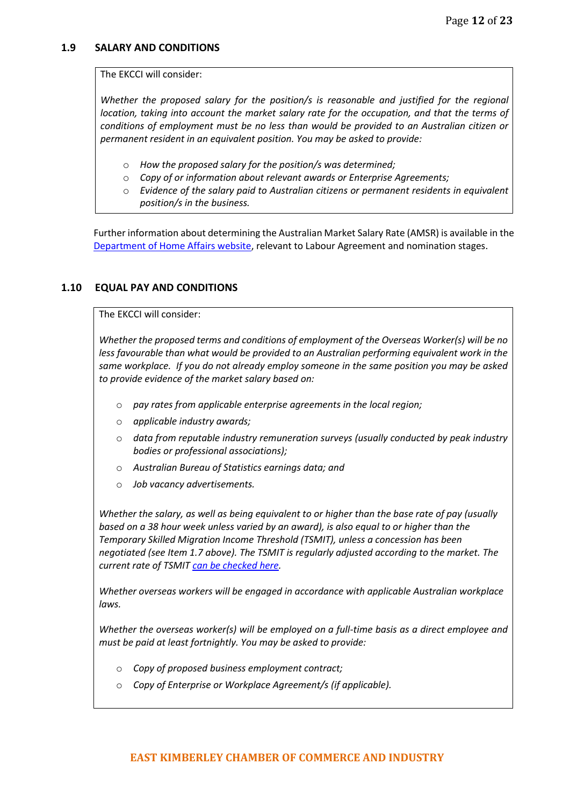## **1.9 SALARY AND CONDITIONS**

#### The EKCCI will consider:

*Whether the proposed salary for the position/s is reasonable and justified for the regional location, taking into account the market salary rate for the occupation, and that the terms of conditions of employment must be no less than would be provided to an Australian citizen or permanent resident in an equivalent position. You may be asked to provide:* 

- o *How the proposed salary for the position/s was determined;*
- o *Copy of or information about relevant awards or Enterprise Agreements;*
- o *Evidence of the salary paid to Australian citizens or permanent residents in equivalent position/s in the business.*

Further information about determining the Australian Market Salary Rate (AMSR) is available in the [Department of Home Affairs website,](https://immi.homeaffairs.gov.au/visas/employing-and-sponsoring-someone/sponsoring-workers/nominating-a-position/salary-requirements) relevant to Labour Agreement and nomination stages.

## **1.10 EQUAL PAY AND CONDITIONS**

#### The EKCCI will consider:

*Whether the proposed terms and conditions of employment of the Overseas Worker(s) will be no less favourable than what would be provided to an Australian performing equivalent work in the same workplace. If you do not already employ someone in the same position you may be asked to provide evidence of the market salary based on:* 

- o *pay rates from applicable enterprise agreements in the local region;*
- o *applicable industry awards;*
- o *data from reputable industry remuneration surveys (usually conducted by peak industry bodies or professional associations);*
- o *Australian Bureau of Statistics earnings data; and*
- o *Job vacancy advertisements.*

*Whether the salary, as well as being equivalent to or higher than the base rate of pay (usually based on a 38 hour week unless varied by an award), is also equal to or higher than the Temporary Skilled Migration Income Threshold (TSMIT), unless a concession has been negotiated (see Item 1.7 above). The TSMIT is regularly adjusted according to the market. The current rate of TSMIT [can be checked here.](https://immi.homeaffairs.gov.au/visas/employing-and-sponsoring-someone/sponsoring-workers/nominating-a-position/salary-requirements)* 

*Whether overseas workers will be engaged in accordance with applicable Australian workplace laws.* 

*Whether the overseas worker(s) will be employed on a full-time basis as a direct employee and must be paid at least fortnightly. You may be asked to provide:* 

- o *Copy of proposed business employment contract;*
- o *Copy of Enterprise or Workplace Agreement/s (if applicable).*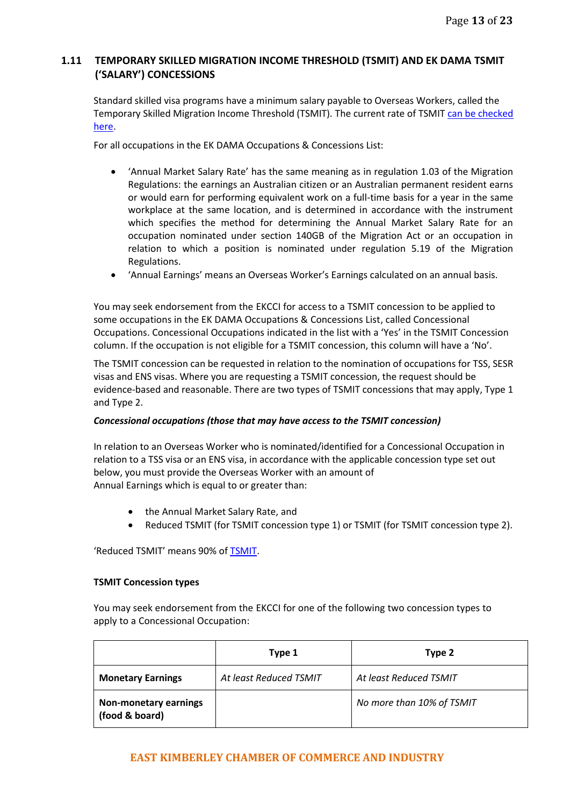# **1.11 TEMPORARY SKILLED MIGRATION INCOME THRESHOLD (TSMIT) AND EK DAMA TSMIT ('SALARY') CONCESSIONS**

Standard skilled visa programs have a minimum salary payable to Overseas Workers, called the Temporary Skilled Migration Income Threshold (TSMIT). The current rate of TSMIT can be checked [here.](https://immi.homeaffairs.gov.au/visas/employing-and-sponsoring-someone/sponsoring-workers/nominating-a-position/salary-requirements)

For all occupations in the EK DAMA Occupations & Concessions List:

- 'Annual Market Salary Rate' has the same meaning as in regulation 1.03 of the Migration Regulations: the earnings an Australian citizen or an Australian permanent resident earns or would earn for performing equivalent work on a full-time basis for a year in the same workplace at the same location, and is determined in accordance with the instrument which specifies the method for determining the Annual Market Salary Rate for an occupation nominated under section 140GB of the Migration Act or an occupation in relation to which a position is nominated under regulation 5.19 of the Migration Regulations.
- 'Annual Earnings' means an Overseas Worker's Earnings calculated on an annual basis.

You may seek endorsement from the EKCCI for access to a TSMIT concession to be applied to some occupations in the EK DAMA Occupations & Concessions List, called Concessional Occupations. Concessional Occupations indicated in the list with a 'Yes' in the TSMIT Concession column. If the occupation is not eligible for a TSMIT concession, this column will have a 'No'.

The TSMIT concession can be requested in relation to the nomination of occupations for TSS, SESR visas and ENS visas. Where you are requesting a TSMIT concession, the request should be evidence-based and reasonable. There are two types of TSMIT concessions that may apply, Type 1 and Type 2.

#### *Concessional occupations (those that may have access to the TSMIT concession)*

In relation to an Overseas Worker who is nominated/identified for a Concessional Occupation in relation to a TSS visa or an ENS visa, in accordance with the applicable concession type set out below, you must provide the Overseas Worker with an amount of Annual Earnings which is equal to or greater than:

- the Annual Market Salary Rate, and
- Reduced TSMIT (for TSMIT concession type 1) or TSMIT (for TSMIT concession type 2).

'Reduced TSMIT' means 90% of [TSMIT.](https://immi.homeaffairs.gov.au/visas/employing-and-sponsoring-someone/sponsoring-workers/nominating-a-position/salary-requirements)

#### **TSMIT Concession types**

You may seek endorsement from the EKCCI for one of the following two concession types to apply to a Concessional Occupation:

|                                                | Type 1                 | Type 2                    |
|------------------------------------------------|------------------------|---------------------------|
| <b>Monetary Earnings</b>                       | At least Reduced TSMIT | At least Reduced TSMIT    |
| <b>Non-monetary earnings</b><br>(food & board) |                        | No more than 10% of TSMIT |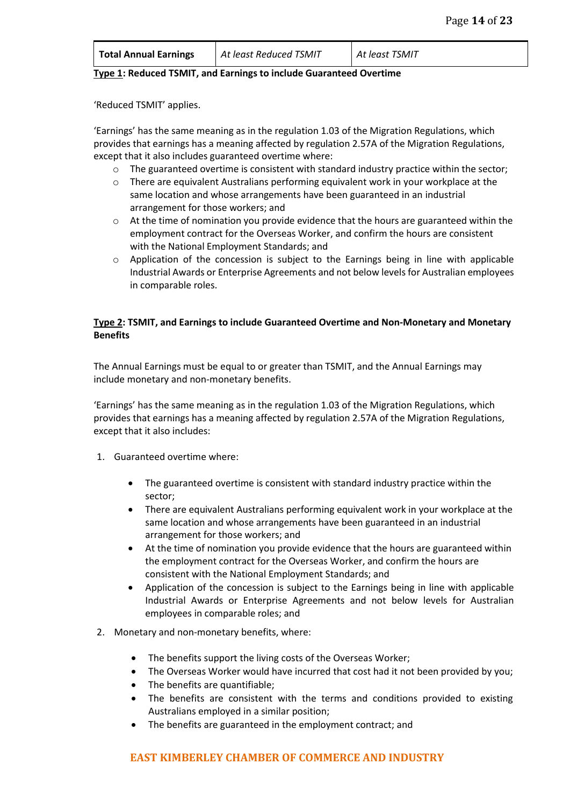| <b>Total Annual Earnings</b> | At least Reduced TSMIT | At least TSMIT |
|------------------------------|------------------------|----------------|
|                              |                        |                |

#### **Type 1: Reduced TSMIT, and Earnings to include Guaranteed Overtime**

'Reduced TSMIT' applies.

'Earnings' has the same meaning as in the regulation 1.03 of the Migration Regulations, which provides that earnings has a meaning affected by regulation 2.57A of the Migration Regulations, except that it also includes guaranteed overtime where:

- $\circ$  The guaranteed overtime is consistent with standard industry practice within the sector;
- $\circ$  There are equivalent Australians performing equivalent work in your workplace at the same location and whose arrangements have been guaranteed in an industrial arrangement for those workers; and
- $\circ$  At the time of nomination you provide evidence that the hours are guaranteed within the employment contract for the Overseas Worker, and confirm the hours are consistent with the National Employment Standards; and
- $\circ$  Application of the concession is subject to the Earnings being in line with applicable Industrial Awards or Enterprise Agreements and not below levels for Australian employees in comparable roles.

## **Type 2: TSMIT, and Earnings to include Guaranteed Overtime and Non-Monetary and Monetary Benefits**

The Annual Earnings must be equal to or greater than TSMIT, and the Annual Earnings may include monetary and non-monetary benefits.

'Earnings' has the same meaning as in the regulation 1.03 of the Migration Regulations, which provides that earnings has a meaning affected by regulation 2.57A of the Migration Regulations, except that it also includes:

- 1. Guaranteed overtime where:
	- The guaranteed overtime is consistent with standard industry practice within the sector;
	- There are equivalent Australians performing equivalent work in your workplace at the same location and whose arrangements have been guaranteed in an industrial arrangement for those workers; and
	- At the time of nomination you provide evidence that the hours are guaranteed within the employment contract for the Overseas Worker, and confirm the hours are consistent with the National Employment Standards; and
	- Application of the concession is subject to the Earnings being in line with applicable Industrial Awards or Enterprise Agreements and not below levels for Australian employees in comparable roles; and
- 2. Monetary and non-monetary benefits, where:
	- The benefits support the living costs of the Overseas Worker;
	- The Overseas Worker would have incurred that cost had it not been provided by you;
	- The benefits are quantifiable;
	- The benefits are consistent with the terms and conditions provided to existing Australians employed in a similar position;
	- The benefits are guaranteed in the employment contract; and

# **EAST KIMBERLEY CHAMBER OF COMMERCE AND INDUSTRY**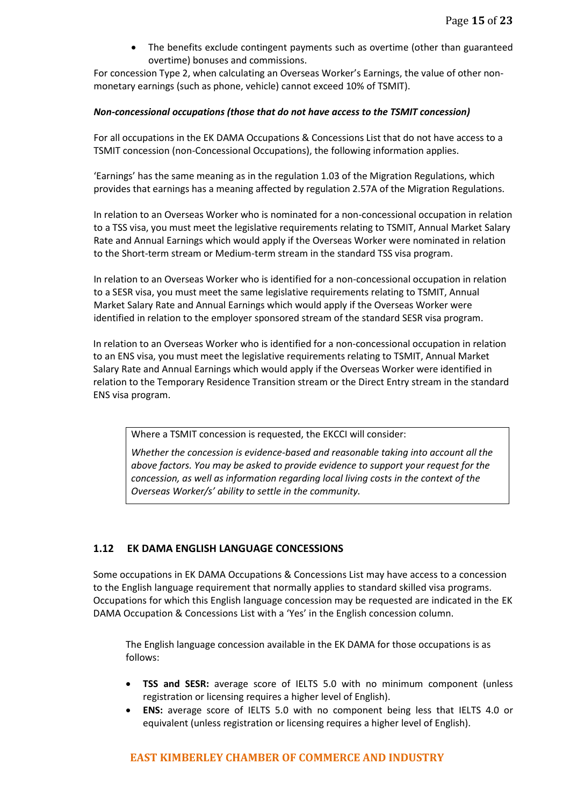• The benefits exclude contingent payments such as overtime (other than guaranteed overtime) bonuses and commissions.

For concession Type 2, when calculating an Overseas Worker's Earnings, the value of other nonmonetary earnings (such as phone, vehicle) cannot exceed 10% of TSMIT).

#### *Non-concessional occupations (those that do not have access to the TSMIT concession)*

For all occupations in the EK DAMA Occupations & Concessions List that do not have access to a TSMIT concession (non-Concessional Occupations), the following information applies.

'Earnings' has the same meaning as in the regulation 1.03 of the Migration Regulations, which provides that earnings has a meaning affected by regulation 2.57A of the Migration Regulations.

In relation to an Overseas Worker who is nominated for a non-concessional occupation in relation to a TSS visa, you must meet the legislative requirements relating to TSMIT, Annual Market Salary Rate and Annual Earnings which would apply if the Overseas Worker were nominated in relation to the Short-term stream or Medium-term stream in the standard TSS visa program.

In relation to an Overseas Worker who is identified for a non-concessional occupation in relation to a SESR visa, you must meet the same legislative requirements relating to TSMIT, Annual Market Salary Rate and Annual Earnings which would apply if the Overseas Worker were identified in relation to the employer sponsored stream of the standard SESR visa program.

In relation to an Overseas Worker who is identified for a non-concessional occupation in relation to an ENS visa, you must meet the legislative requirements relating to TSMIT, Annual Market Salary Rate and Annual Earnings which would apply if the Overseas Worker were identified in relation to the Temporary Residence Transition stream or the Direct Entry stream in the standard ENS visa program.

Where a TSMIT concession is requested, the EKCCI will consider:

*Whether the concession is evidence-based and reasonable taking into account all the above factors. You may be asked to provide evidence to support your request for the concession, as well as information regarding local living costs in the context of the Overseas Worker/s' ability to settle in the community.*

#### **1.12 EK DAMA ENGLISH LANGUAGE CONCESSIONS**

Some occupations in EK DAMA Occupations & Concessions List may have access to a concession to the English language requirement that normally applies to standard skilled visa programs. Occupations for which this English language concession may be requested are indicated in the EK DAMA Occupation & Concessions List with a 'Yes' in the English concession column.

The English language concession available in the EK DAMA for those occupations is as follows:

- **TSS and SESR:** average score of IELTS 5.0 with no minimum component (unless registration or licensing requires a higher level of English).
- **ENS:** average score of IELTS 5.0 with no component being less that IELTS 4.0 or equivalent (unless registration or licensing requires a higher level of English).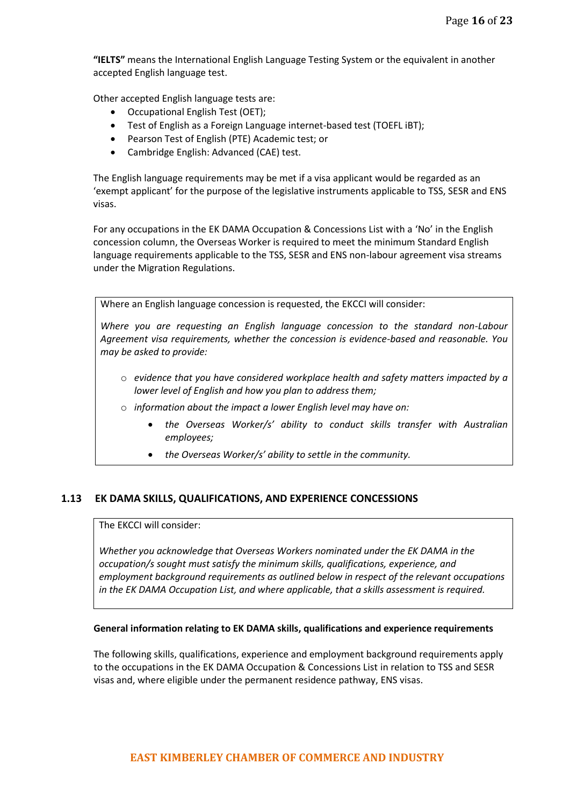**"IELTS"** means the International English Language Testing System or the equivalent in another accepted English language test.

Other accepted English language tests are:

- Occupational English Test (OET);
- Test of English as a Foreign Language internet-based test (TOEFL iBT);
- Pearson Test of English (PTE) Academic test; or
- Cambridge English: Advanced (CAE) test.

The English language requirements may be met if a visa applicant would be regarded as an 'exempt applicant' for the purpose of the legislative instruments applicable to TSS, SESR and ENS visas.

For any occupations in the EK DAMA Occupation & Concessions List with a 'No' in the English concession column, the Overseas Worker is required to meet the minimum Standard English language requirements applicable to the TSS, SESR and ENS non-labour agreement visa streams under the Migration Regulations.

Where an English language concession is requested, the EKCCI will consider:

*Where you are requesting an English language concession to the standard non-Labour Agreement visa requirements, whether the concession is evidence-based and reasonable. You may be asked to provide:* 

- o *evidence that you have considered workplace health and safety matters impacted by a lower level of English and how you plan to address them;*
- o *information about the impact a lower English level may have on:* 
	- *the Overseas Worker/s' ability to conduct skills transfer with Australian employees;*
	- *the Overseas Worker/s' ability to settle in the community.*

#### **1.13 EK DAMA SKILLS, QUALIFICATIONS, AND EXPERIENCE CONCESSIONS**

## The EKCCI will consider:

*Whether you acknowledge that Overseas Workers nominated under the EK DAMA in the occupation/s sought must satisfy the minimum skills, qualifications, experience, and employment background requirements as outlined below in respect of the relevant occupations in the EK DAMA Occupation List, and where applicable, that a skills assessment is required.* 

#### **General information relating to EK DAMA skills, qualifications and experience requirements**

The following skills, qualifications, experience and employment background requirements apply to the occupations in the EK DAMA Occupation & Concessions List in relation to TSS and SESR visas and, where eligible under the permanent residence pathway, ENS visas.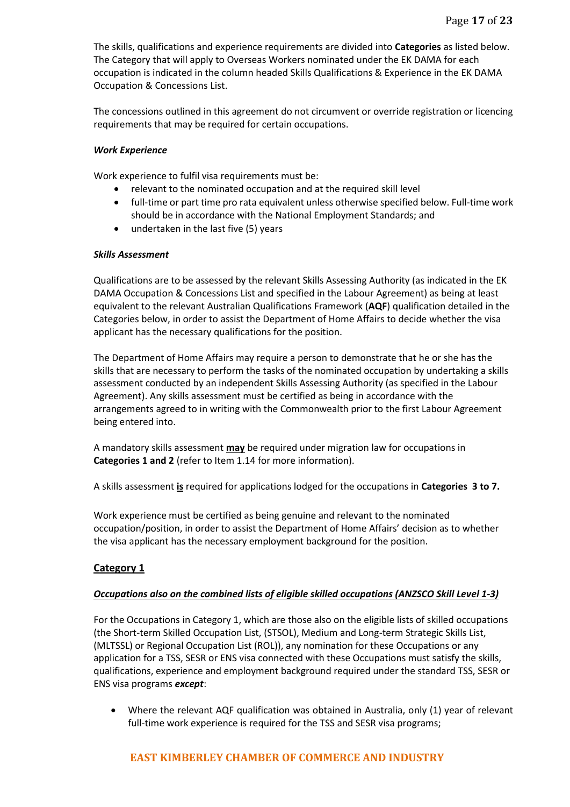The skills, qualifications and experience requirements are divided into **Categories** as listed below. The Category that will apply to Overseas Workers nominated under the EK DAMA for each occupation is indicated in the column headed Skills Qualifications & Experience in the EK DAMA Occupation & Concessions List.

The concessions outlined in this agreement do not circumvent or override registration or licencing requirements that may be required for certain occupations.

#### *Work Experience*

Work experience to fulfil visa requirements must be:

- relevant to the nominated occupation and at the required skill level
- full-time or part time pro rata equivalent unless otherwise specified below. Full-time work should be in accordance with the National Employment Standards; and
- undertaken in the last five (5) years

## *Skills Assessment*

Qualifications are to be assessed by the relevant Skills Assessing Authority (as indicated in the EK DAMA Occupation & Concessions List and specified in the Labour Agreement) as being at least equivalent to the relevant Australian Qualifications Framework (**AQF**) qualification detailed in the Categories below, in order to assist the Department of Home Affairs to decide whether the visa applicant has the necessary qualifications for the position.

The Department of Home Affairs may require a person to demonstrate that he or she has the skills that are necessary to perform the tasks of the nominated occupation by undertaking a skills assessment conducted by an independent Skills Assessing Authority (as specified in the Labour Agreement). Any skills assessment must be certified as being in accordance with the arrangements agreed to in writing with the Commonwealth prior to the first Labour Agreement being entered into.

A mandatory skills assessment **may** be required under migration law for occupations in **Categories 1 and 2** (refer to Item 1.14 for more information).

A skills assessment **is** required for applications lodged for the occupations in **Categories 3 to 7.** 

Work experience must be certified as being genuine and relevant to the nominated occupation/position, in order to assist the Department of Home Affairs' decision as to whether the visa applicant has the necessary employment background for the position.

# **Category 1**

# *Occupations also on the combined lists of eligible skilled occupations (ANZSCO Skill Level 1-3)*

For the Occupations in Category 1, which are those also on the eligible lists of skilled occupations (the Short-term Skilled Occupation List, (STSOL), Medium and Long-term Strategic Skills List, (MLTSSL) or Regional Occupation List (ROL)), any nomination for these Occupations or any application for a TSS, SESR or ENS visa connected with these Occupations must satisfy the skills, qualifications, experience and employment background required under the standard TSS, SESR or ENS visa programs *except*:

• Where the relevant AQF qualification was obtained in Australia, only (1) year of relevant full-time work experience is required for the TSS and SESR visa programs;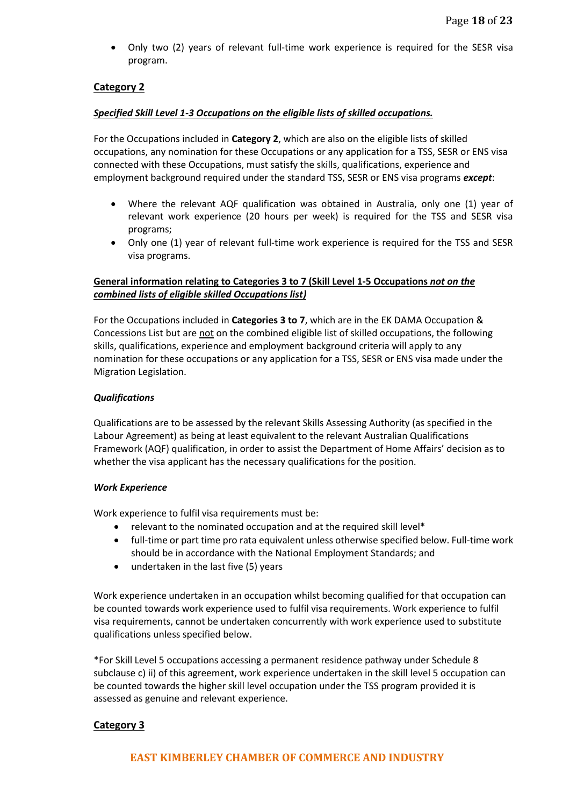• Only two (2) years of relevant full-time work experience is required for the SESR visa program.

# **Category 2**

#### *Specified Skill Level 1-3 Occupations on the eligible lists of skilled occupations.*

For the Occupations included in **Category 2**, which are also on the eligible lists of skilled occupations, any nomination for these Occupations or any application for a TSS, SESR or ENS visa connected with these Occupations, must satisfy the skills, qualifications, experience and employment background required under the standard TSS, SESR or ENS visa programs *except*:

- Where the relevant AQF qualification was obtained in Australia, only one (1) year of relevant work experience (20 hours per week) is required for the TSS and SESR visa programs;
- Only one (1) year of relevant full-time work experience is required for the TSS and SESR visa programs.

## **General information relating to Categories 3 to 7 (Skill Level 1-5 Occupations** *not on the combined lists of eligible skilled Occupations list)*

For the Occupations included in **Categories 3 to 7**, which are in the EK DAMA Occupation & Concessions List but are not on the combined eligible list of skilled occupations, the following skills, qualifications, experience and employment background criteria will apply to any nomination for these occupations or any application for a TSS, SESR or ENS visa made under the Migration Legislation.

#### *Qualifications*

Qualifications are to be assessed by the relevant Skills Assessing Authority (as specified in the Labour Agreement) as being at least equivalent to the relevant Australian Qualifications Framework (AQF) qualification, in order to assist the Department of Home Affairs' decision as to whether the visa applicant has the necessary qualifications for the position.

#### *Work Experience*

Work experience to fulfil visa requirements must be:

- relevant to the nominated occupation and at the required skill level\*
- full-time or part time pro rata equivalent unless otherwise specified below. Full-time work should be in accordance with the National Employment Standards; and
- undertaken in the last five (5) years

Work experience undertaken in an occupation whilst becoming qualified for that occupation can be counted towards work experience used to fulfil visa requirements. Work experience to fulfil visa requirements, cannot be undertaken concurrently with work experience used to substitute qualifications unless specified below.

\*For Skill Level 5 occupations accessing a permanent residence pathway under Schedule 8 subclause c) ii) of this agreement, work experience undertaken in the skill level 5 occupation can be counted towards the higher skill level occupation under the TSS program provided it is assessed as genuine and relevant experience.

# **Category 3**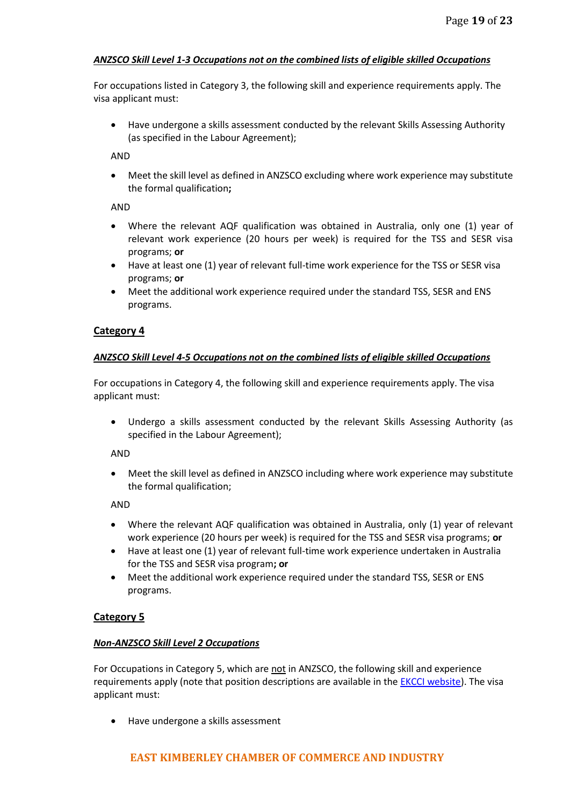## *ANZSCO Skill Level 1-3 Occupations not on the combined lists of eligible skilled Occupations*

For occupations listed in Category 3, the following skill and experience requirements apply. The visa applicant must:

• Have undergone a skills assessment conducted by the relevant Skills Assessing Authority (as specified in the Labour Agreement);

AND

• Meet the skill level as defined in ANZSCO excluding where work experience may substitute the formal qualification**;**

AND

- Where the relevant AQF qualification was obtained in Australia, only one (1) year of relevant work experience (20 hours per week) is required for the TSS and SESR visa programs; **or**
- Have at least one (1) year of relevant full-time work experience for the TSS or SESR visa programs; **or**
- Meet the additional work experience required under the standard TSS, SESR and ENS programs.

# **Category 4**

## *ANZSCO Skill Level 4-5 Occupations not on the combined lists of eligible skilled Occupations*

For occupations in Category 4, the following skill and experience requirements apply. The visa applicant must:

• Undergo a skills assessment conducted by the relevant Skills Assessing Authority (as specified in the Labour Agreement);

AND

• Meet the skill level as defined in ANZSCO including where work experience may substitute the formal qualification;

AND

- Where the relevant AQF qualification was obtained in Australia, only (1) year of relevant work experience (20 hours per week) is required for the TSS and SESR visa programs; **or**
- Have at least one (1) year of relevant full-time work experience undertaken in Australia for the TSS and SESR visa program**; or**
- Meet the additional work experience required under the standard TSS, SESR or ENS programs.

# **Category 5**

# *Non-ANZSCO Skill Level 2 Occupations*

For Occupations in Category 5, which are not in ANZSCO, the following skill and experience requirements apply (note that position descriptions are available in the [EKCCI website\)](https://www.ekcci.com.au/ek-dama/accessing-ek-dama/). The visa applicant must:

• Have undergone a skills assessment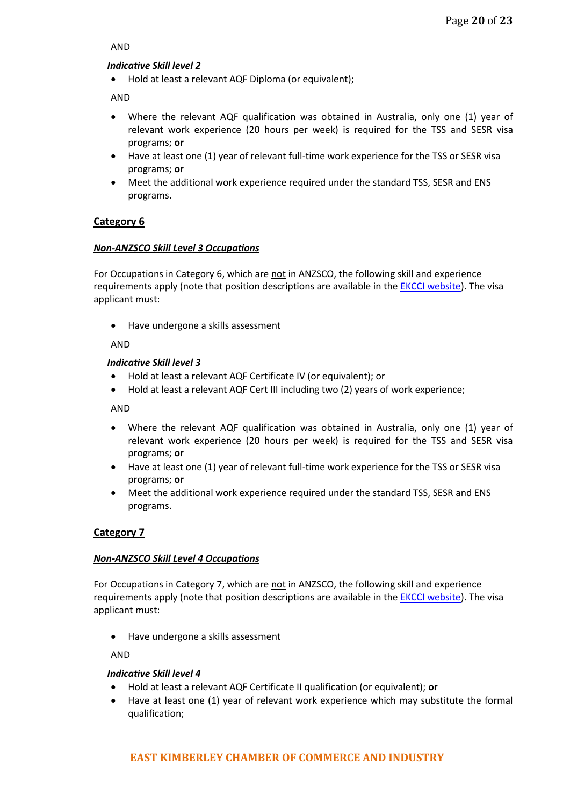AND

## *Indicative Skill level 2*

• Hold at least a relevant AQF Diploma (or equivalent);

AND

- Where the relevant AQF qualification was obtained in Australia, only one (1) year of relevant work experience (20 hours per week) is required for the TSS and SESR visa programs; **or**
- Have at least one (1) year of relevant full-time work experience for the TSS or SESR visa programs; **or**
- Meet the additional work experience required under the standard TSS, SESR and ENS programs.

# **Category 6**

#### *Non-ANZSCO Skill Level 3 Occupations*

For Occupations in Category 6, which are not in ANZSCO, the following skill and experience requirements apply (note that position descriptions are available in the **EKCCI website**). The visa applicant must:

• Have undergone a skills assessment

AND

#### *Indicative Skill level 3*

- Hold at least a relevant AQF Certificate IV (or equivalent); or
- Hold at least a relevant AQF Cert III including two (2) years of work experience;

AND

- Where the relevant AQF qualification was obtained in Australia, only one (1) year of relevant work experience (20 hours per week) is required for the TSS and SESR visa programs; **or**
- Have at least one (1) year of relevant full-time work experience for the TSS or SESR visa programs; **or**
- Meet the additional work experience required under the standard TSS, SESR and ENS programs.

# **Category 7**

#### *Non-ANZSCO Skill Level 4 Occupations*

For Occupations in Category 7, which are not in ANZSCO, the following skill and experience requirements apply (note that position descriptions are available in the **EKCCI website**). The visa applicant must:

• Have undergone a skills assessment

AND

#### *Indicative Skill level 4*

- Hold at least a relevant AQF Certificate II qualification (or equivalent); **or**
- Have at least one (1) year of relevant work experience which may substitute the formal qualification;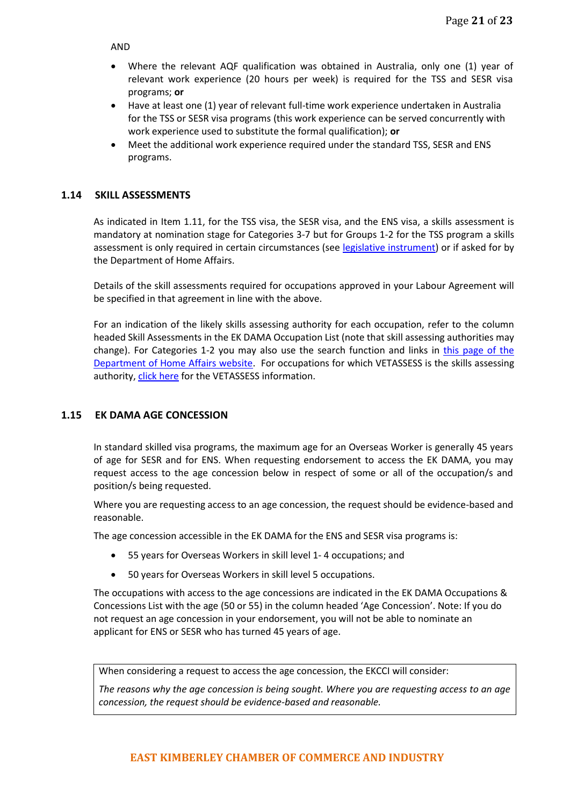AND

- Where the relevant AQF qualification was obtained in Australia, only one (1) year of relevant work experience (20 hours per week) is required for the TSS and SESR visa programs; **or**
- Have at least one (1) year of relevant full-time work experience undertaken in Australia for the TSS or SESR visa programs (this work experience can be served concurrently with work experience used to substitute the formal qualification); **or**
- Meet the additional work experience required under the standard TSS, SESR and ENS programs.

## **1.14 SKILL ASSESSMENTS**

As indicated in Item 1.11, for the TSS visa, the SESR visa, and the ENS visa, a skills assessment is mandatory at nomination stage for Categories 3-7 but for Groups 1-2 for the TSS program a skills assessment is only required in certain circumstances (see [legislative instrument\)](https://www.legislation.gov.au/Details/F2018L00294) or if asked for by the Department of Home Affairs.

Details of the skill assessments required for occupations approved in your Labour Agreement will be specified in that agreement in line with the above.

For an indication of the likely skills assessing authority for each occupation, refer to the column headed Skill Assessments in the EK DAMA Occupation List (note that skill assessing authorities may change). For Categories 1-2 you may also use the search function and links in this page of the [Department of Home Affairs website.](https://immi.homeaffairs.gov.au/visas/working-in-australia/skill-occupation-list) For occupations for which VETASSESS is the skills assessing authority, [click here](https://www.vetassess.com.au/portals/0/downloads/dama/Queensland-DAMA_Occupation_List_and_FAQs_booklet_brochure.pdf) for the VETASSESS information.

#### **1.15 EK DAMA AGE CONCESSION**

In standard skilled visa programs, the maximum age for an Overseas Worker is generally 45 years of age for SESR and for ENS. When requesting endorsement to access the EK DAMA, you may request access to the age concession below in respect of some or all of the occupation/s and position/s being requested.

Where you are requesting access to an age concession, the request should be evidence-based and reasonable.

The age concession accessible in the EK DAMA for the ENS and SESR visa programs is:

- 55 years for Overseas Workers in skill level 1- 4 occupations; and
- 50 years for Overseas Workers in skill level 5 occupations.

The occupations with access to the age concessions are indicated in the EK DAMA Occupations & Concessions List with the age (50 or 55) in the column headed 'Age Concession'. Note: If you do not request an age concession in your endorsement, you will not be able to nominate an applicant for ENS or SESR who has turned 45 years of age.

When considering a request to access the age concession, the EKCCI will consider:

*The reasons why the age concession is being sought. Where you are requesting access to an age concession, the request should be evidence-based and reasonable.*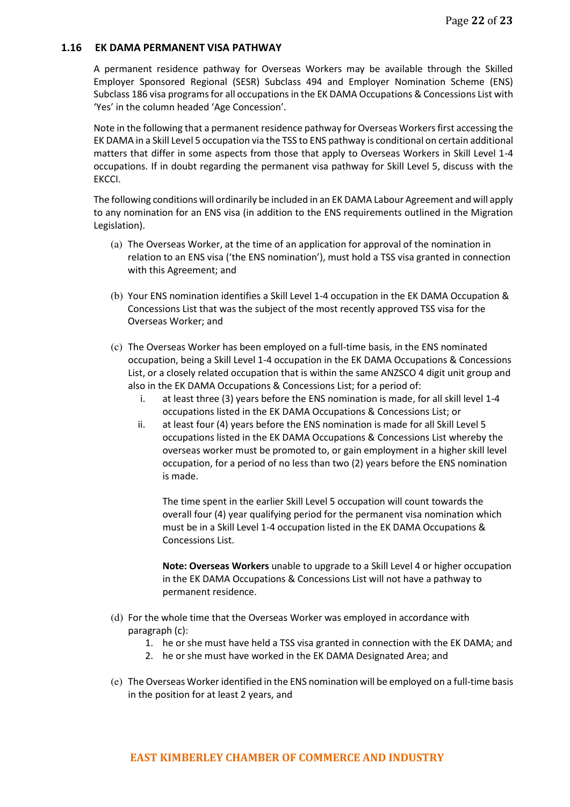#### **1.16 EK DAMA PERMANENT VISA PATHWAY**

A permanent residence pathway for Overseas Workers may be available through the Skilled Employer Sponsored Regional (SESR) Subclass 494 and Employer Nomination Scheme (ENS) Subclass 186 visa programs for all occupations in the EK DAMA Occupations & Concessions List with 'Yes' in the column headed 'Age Concession'.

Note in the following that a permanent residence pathway for Overseas Workers first accessing the EK DAMA in a Skill Level 5 occupation via the TSS to ENS pathway is conditional on certain additional matters that differ in some aspects from those that apply to Overseas Workers in Skill Level 1-4 occupations. If in doubt regarding the permanent visa pathway for Skill Level 5, discuss with the EKCCI.

The following conditions will ordinarily be included in an EK DAMA Labour Agreement and will apply to any nomination for an ENS visa (in addition to the ENS requirements outlined in the Migration Legislation).

- (a) The Overseas Worker, at the time of an application for approval of the nomination in relation to an ENS visa ('the ENS nomination'), must hold a TSS visa granted in connection with this Agreement; and
- (b) Your ENS nomination identifies a Skill Level 1-4 occupation in the EK DAMA Occupation & Concessions List that was the subject of the most recently approved TSS visa for the Overseas Worker; and
- (c) The Overseas Worker has been employed on a full-time basis, in the ENS nominated occupation, being a Skill Level 1-4 occupation in the EK DAMA Occupations & Concessions List, or a closely related occupation that is within the same ANZSCO 4 digit unit group and also in the EK DAMA Occupations & Concessions List; for a period of:
	- i. at least three (3) years before the ENS nomination is made, for all skill level 1-4 occupations listed in the EK DAMA Occupations & Concessions List; or
	- ii. at least four (4) years before the ENS nomination is made for all Skill Level 5 occupations listed in the EK DAMA Occupations & Concessions List whereby the overseas worker must be promoted to, or gain employment in a higher skill level occupation, for a period of no less than two (2) years before the ENS nomination is made.

The time spent in the earlier Skill Level 5 occupation will count towards the overall four (4) year qualifying period for the permanent visa nomination which must be in a Skill Level 1-4 occupation listed in the EK DAMA Occupations & Concessions List.

**Note: Overseas Workers** unable to upgrade to a Skill Level 4 or higher occupation in the EK DAMA Occupations & Concessions List will not have a pathway to permanent residence.

- (d) For the whole time that the Overseas Worker was employed in accordance with paragraph (c):
	- 1. he or she must have held a TSS visa granted in connection with the EK DAMA; and
	- 2. he or she must have worked in the EK DAMA Designated Area; and
- (e) The Overseas Worker identified in the ENS nomination will be employed on a full-time basis in the position for at least 2 years, and